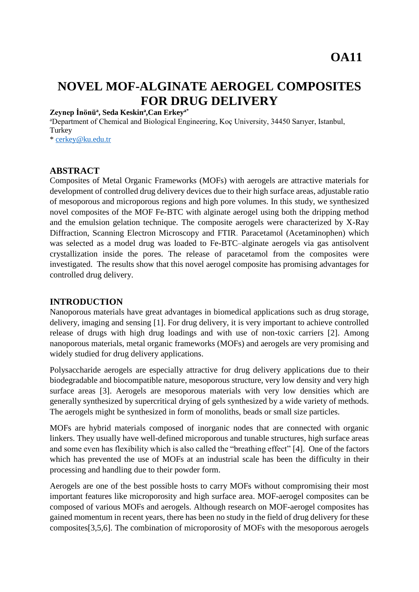# **NOVEL MOF-ALGINATE AEROGEL COMPOSITES FOR DRUG DELIVERY**

#### **Zeynep İnönü<sup>a</sup> , Seda Keskin<sup>a</sup> ,Can Erkeya\***

<sup>a</sup>Department of Chemical and Biological Engineering, Koç University, 34450 Sarıyer, Istanbul, **Turkey** \* [cerkey@ku.edu.tr](mailto:cerkey@ku.edu.tr)

**ABSTRACT**

Composites of Metal Organic Frameworks (MOFs) with aerogels are attractive materials for development of controlled drug delivery devices due to their high surface areas, adjustable ratio of mesoporous and microporous regions and high pore volumes. In this study, we synthesized novel composites of the MOF Fe-BTC with alginate aerogel using both the dripping method and the emulsion gelation technique. The composite aerogels were characterized by X-Ray Diffraction, Scanning Electron Microscopy and FTIR. Paracetamol (Acetaminophen) which was selected as a model drug was loaded to Fe-BTC–alginate aerogels via gas antisolvent crystallization inside the pores. The release of paracetamol from the composites were investigated. The results show that this novel aerogel composite has promising advantages for controlled drug delivery.

#### **INTRODUCTION**

Nanoporous materials have great advantages in biomedical applications such as drug storage, delivery, imaging and sensing [1]. For drug delivery, it is very important to achieve controlled release of drugs with high drug loadings and with use of non-toxic carriers [2]. Among nanoporous materials, metal organic frameworks (MOFs) and aerogels are very promising and widely studied for drug delivery applications.

Polysaccharide aerogels are especially attractive for drug delivery applications due to their biodegradable and biocompatible nature, mesoporous structure, very low density and very high surface areas [3]. Aerogels are mesoporous materials with very low densities which are generally synthesized by supercritical drying of gels synthesized by a wide variety of methods. The aerogels might be synthesized in form of monoliths, beads or small size particles.

MOFs are hybrid materials composed of inorganic nodes that are connected with organic linkers. They usually have well-defined microporous and tunable structures, high surface areas and some even has flexibility which is also called the "breathing effect" [4]. One of the factors which has prevented the use of MOFs at an industrial scale has been the difficulty in their processing and handling due to their powder form.

Aerogels are one of the best possible hosts to carry MOFs without compromising their most important features like microporosity and high surface area. MOF-aerogel composites can be composed of various MOFs and aerogels. Although research on MOF-aerogel composites has gained momentum in recent years, there has been no study in the field of drug delivery for these composites[3,5,6]. The combination of microporosity of MOFs with the mesoporous aerogels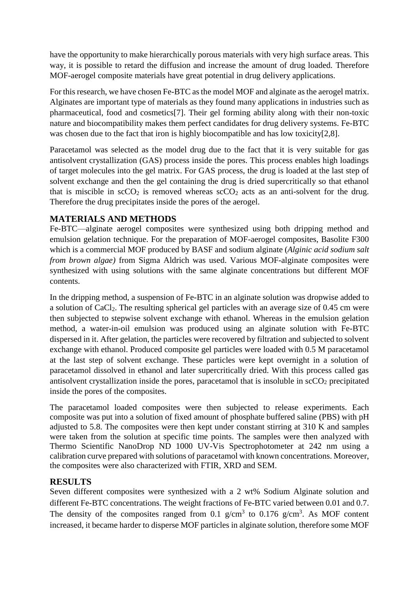have the opportunity to make hierarchically porous materials with very high surface areas. This way, it is possible to retard the diffusion and increase the amount of drug loaded. Therefore MOF-aerogel composite materials have great potential in drug delivery applications.

For this research, we have chosen Fe-BTC as the model MOF and alginate as the aerogel matrix. Alginates are important type of materials as they found many applications in industries such as pharmaceutical, food and cosmetics[7]. Their gel forming ability along with their non-toxic nature and biocompatibility makes them perfect candidates for drug delivery systems. Fe-BTC was chosen due to the fact that iron is highly biocompatible and has low toxicity[2,8].

Paracetamol was selected as the model drug due to the fact that it is very suitable for gas antisolvent crystallization (GAS) process inside the pores. This process enables high loadings of target molecules into the gel matrix. For GAS process, the drug is loaded at the last step of solvent exchange and then the gel containing the drug is dried supercritically so that ethanol that is miscible in  $\sec O_2$  is removed whereas  $\sec O_2$  acts as an anti-solvent for the drug. Therefore the drug precipitates inside the pores of the aerogel.

## **MATERIALS AND METHODS**

Fe-BTC—alginate aerogel composites were synthesized using both dripping method and emulsion gelation technique. For the preparation of MOF-aerogel composites, Basolite F300 which is a commercial MOF produced by BASF and sodium alginate (*Alginic acid sodium salt from brown algae)* from Sigma Aldrich was used. Various MOF-alginate composites were synthesized with using solutions with the same alginate concentrations but different MOF contents.

In the dripping method, a suspension of Fe-BTC in an alginate solution was dropwise added to a solution of CaCl2. The resulting spherical gel particles with an average size of 0.45 cm were then subjected to stepwise solvent exchange with ethanol. Whereas in the emulsion gelation method, a water-in-oil emulsion was produced using an alginate solution with Fe-BTC dispersed in it. After gelation, the particles were recovered by filtration and subjected to solvent exchange with ethanol. Produced composite gel particles were loaded with 0.5 M paracetamol at the last step of solvent exchange. These particles were kept overnight in a solution of paracetamol dissolved in ethanol and later supercritically dried. With this process called gas antisolvent crystallization inside the pores, paracetamol that is insoluble in  $\sec O_2$  precipitated inside the pores of the composites.

The paracetamol loaded composites were then subjected to release experiments. Each composite was put into a solution of fixed amount of phosphate buffered saline (PBS) with pH adjusted to 5.8. The composites were then kept under constant stirring at 310 K and samples were taken from the solution at specific time points. The samples were then analyzed with Thermo Scientific NanoDrop ND 1000 UV-Vis Spectrophotometer at 242 nm using a calibration curve prepared with solutions of paracetamol with known concentrations. Moreover, the composites were also characterized with FTIR, XRD and SEM.

### **RESULTS**

Seven different composites were synthesized with a 2 wt% Sodium Alginate solution and different Fe-BTC concentrations. The weight fractions of Fe-BTC varied between 0.01 and 0.7. The density of the composites ranged from 0.1  $g/cm<sup>3</sup>$  to 0.176  $g/cm<sup>3</sup>$ . As MOF content increased, it became harder to disperse MOF particles in alginate solution, therefore some MOF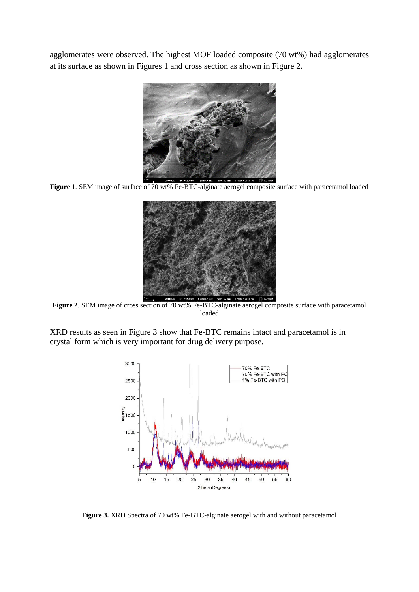agglomerates were observed. The highest MOF loaded composite (70 wt%) had agglomerates at its surface as shown in Figures 1 and cross section as shown in Figure 2.



Figure 1. SEM image of surface of 70 wt% Fe-BTC-alginate aerogel composite surface with paracetamol loaded



**Figure 2.** SEM image of cross section of 70 wt% Fe-BTC-alginate aerogel composite surface with paracetamol loaded

XRD results as seen in Figure 3 show that Fe-BTC remains intact and paracetamol is in crystal form which is very important for drug delivery purpose.



**Figure 3.** XRD Spectra of 70 wt% Fe-BTC-alginate aerogel with and without paracetamol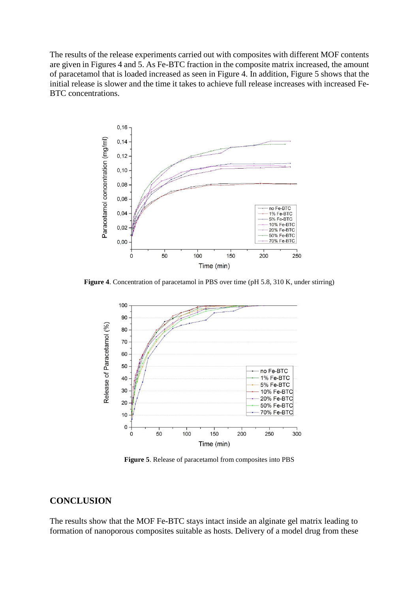The results of the release experiments carried out with composites with different MOF contents are given in Figures 4 and 5. As Fe-BTC fraction in the composite matrix increased, the amount of paracetamol that is loaded increased as seen in Figure 4. In addition, Figure 5 shows that the initial release is slower and the time it takes to achieve full release increases with increased Fe-BTC concentrations.



**Figure 4**. Concentration of paracetamol in PBS over time (pH 5.8, 310 K, under stirring)



**Figure 5**. Release of paracetamol from composites into PBS

#### **CONCLUSION**

The results show that the MOF Fe-BTC stays intact inside an alginate gel matrix leading to formation of nanoporous composites suitable as hosts. Delivery of a model drug from these